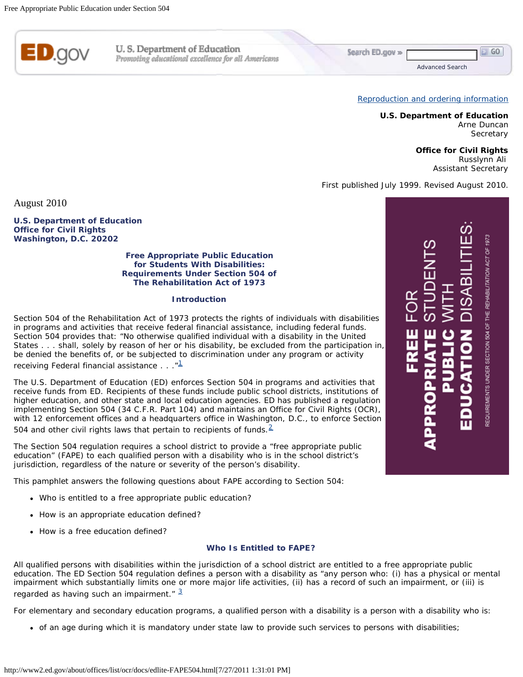<span id="page-0-4"></span><span id="page-0-3"></span>

U.S. Department of Education Promoting educational excellence for all Americans

Search ED.gov »

Advanced Search

#### [Reproduction and ordering information](#page-4-0)

**U.S. Department of Education** Arne Duncan *Secretary*

> **Office for Civil Rights** Russlynn Ali *Assistant Secretary*

GO

First published July 1999. Revised August 2010.

August 2010

*U.S. Department of Education Office for Civil Rights Washington, D.C. 20202*

> *Free Appropriate Public Education for Students With Disabilities: Requirements Under Section 504 of The Rehabilitation Act of 1973*

#### *Introduction*

<span id="page-0-0"></span>Section 504 of the *Rehabilitation Act of 1973* protects the rights of individuals with disabilities in programs and activities that receive federal financial assistance, including federal funds. Section 504 provides that: "No otherwise qualified individual with a disability in the United States . . . shall, solely by reason of her or his disability, be excluded from the participation in, be denied the benefits of, or be subjected to discrimination under any program or activity receiving Federal financial assistance  $\dots$ ." $^\text{1}$  $^\text{1}$  $^\text{1}$ 

<span id="page-0-1"></span>The U.S. Department of Education (ED) enforces Section 504 in programs and activities that receive funds from ED. Recipients of these funds include public school districts, institutions of higher education, and other state and local education agencies. ED has published a regulation implementing Section 504 (34 C.F.R. Part 104) and maintains an Office for Civil Rights (OCR), with 12 enforcement offices and a headquarters office in Washington, D.C., to enforce Section 504 and other civil rights laws that pertain to recipients of funds. $2$ 

The Section 504 regulation requires a school district to provide a "free appropriate public education" (FAPE) to each qualified person with a disability who is in the school district's jurisdiction, regardless of the nature or severity of the person's disability.

This pamphlet answers the following questions about FAPE according to Section 504:

- Who is entitled to a free appropriate public education?
- How is an appropriate education defined?
- How is a free education defined?

### *Who Is Entitled to FAPE?*

<span id="page-0-2"></span>All qualified persons with disabilities within the jurisdiction of a school district are entitled to a free appropriate public education. The ED Section 504 regulation defines a person with a disability as "any person who: (i) has a physical or mental impairment which substantially limits one or more major life activities, (ii) has a record of such an impairment, or (iii) is regarded as having such an impairment."  $\frac{3}{2}$  $\frac{3}{2}$  $\frac{3}{2}$ 

For elementary and secondary education programs, a qualified person with a disability is a person with a disability who is:

of an age during which it is mandatory under state law to provide such services to persons with disabilities;

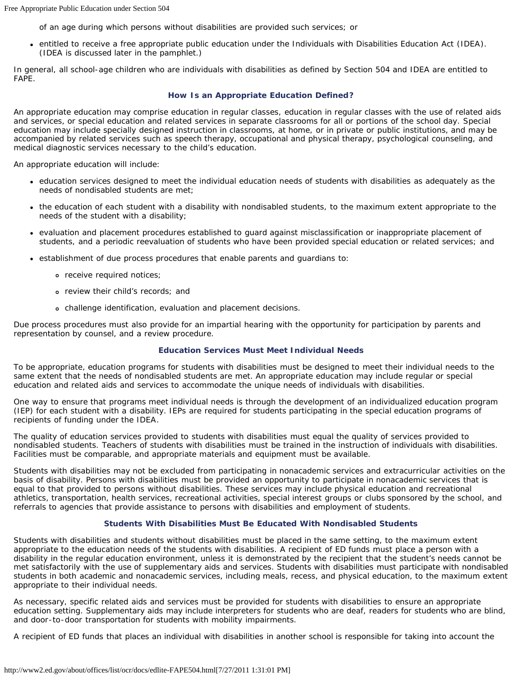of an age during which persons without disabilities are provided such services; or

entitled to receive a free appropriate public education under the *Individuals with Disabilities Education Act* (*IDEA*). (*IDEA* is discussed later in the pamphlet.)

In general, all school-age children who are individuals with disabilities as defined by Section 504 and *IDEA* are entitled to FAPE.

### *How Is an Appropriate Education Defined?*

An appropriate education may comprise education in regular classes, education in regular classes with the use of related aids and services, or special education and related services in separate classrooms for all or portions of the school day. Special education may include specially designed instruction in classrooms, at home, or in private or public institutions, and may be accompanied by related services such as speech therapy, occupational and physical therapy, psychological counseling, and medical diagnostic services necessary to the child's education.

An appropriate education will include:

- education services designed to meet the individual education needs of students with disabilities as adequately as the needs of nondisabled students are met;
- the education of each student with a disability with nondisabled students, to the maximum extent appropriate to the needs of the student with a disability;
- evaluation and placement procedures established to guard against misclassification or inappropriate placement of students, and a periodic reevaluation of students who have been provided special education or related services; and
- establishment of due process procedures that enable parents and guardians to:
	- o receive required notices;
	- review their child's records; and
	- challenge identification, evaluation and placement decisions.

Due process procedures must also provide for an impartial hearing with the opportunity for participation by parents and representation by counsel, and a review procedure.

### *Education Services Must Meet Individual Needs*

To be appropriate, education programs for students with disabilities must be designed to meet their individual needs to the same extent that the needs of nondisabled students are met. An appropriate education may include regular or special education and related aids and services to accommodate the unique needs of individuals with disabilities.

One way to ensure that programs meet individual needs is through the development of an individualized education program (IEP) for each student with a disability. IEPs are required for students participating in the special education programs of recipients of funding under the *IDEA*.

The quality of education services provided to students with disabilities must equal the quality of services provided to nondisabled students. Teachers of students with disabilities must be trained in the instruction of individuals with disabilities. Facilities must be comparable, and appropriate materials and equipment must be available.

Students with disabilities may not be excluded from participating in nonacademic services and extracurricular activities on the basis of disability. Persons with disabilities must be provided an opportunity to participate in nonacademic services that is equal to that provided to persons without disabilities. These services may include physical education and recreational athletics, transportation, health services, recreational activities, special interest groups or clubs sponsored by the school, and referrals to agencies that provide assistance to persons with disabilities and employment of students.

### *Students With Disabilities Must Be Educated With Nondisabled Students*

Students with disabilities and students without disabilities must be placed in the same setting, to the maximum extent appropriate to the education needs of the students with disabilities. A recipient of ED funds must place a person with a disability in the regular education environment, unless it is demonstrated by the recipient that the student's needs cannot be met satisfactorily with the use of supplementary aids and services. Students with disabilities must participate with nondisabled students in both academic and nonacademic services, including meals, recess, and physical education, to the maximum extent appropriate to their individual needs.

As necessary, specific related aids and services must be provided for students with disabilities to ensure an appropriate education setting. Supplementary aids may include interpreters for students who are deaf, readers for students who are blind, and door-to-door transportation for students with mobility impairments.

A recipient of ED funds that places an individual with disabilities in another school is responsible for taking into account the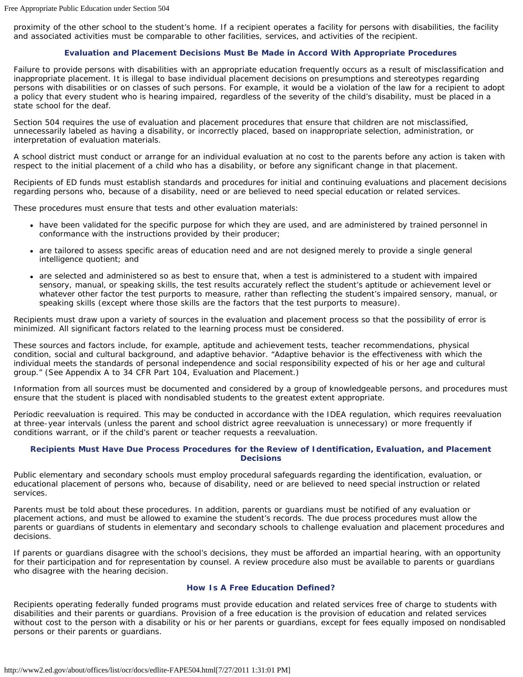proximity of the other school to the student's home. If a recipient operates a facility for persons with disabilities, the facility and associated activities must be comparable to other facilities, services, and activities of the recipient.

### *Evaluation and Placement Decisions Must Be Made in Accord With Appropriate Procedures*

Failure to provide persons with disabilities with an appropriate education frequently occurs as a result of misclassification and inappropriate placement. It is illegal to base individual placement decisions on presumptions and stereotypes regarding persons with disabilities or on classes of such persons. For example, it would be a violation of the law for a recipient to adopt a policy that every student who is hearing impaired, regardless of the severity of the child's disability, must be placed in a state school for the deaf.

Section 504 requires the use of evaluation and placement procedures that ensure that children are not misclassified, unnecessarily labeled as having a disability, or incorrectly placed, based on inappropriate selection, administration, or interpretation of evaluation materials.

A school district must conduct or arrange for an individual evaluation at no cost to the parents before any action is taken with respect to the initial placement of a child who has a disability, or before any significant change in that placement.

Recipients of ED funds must establish standards and procedures for initial and continuing evaluations and placement decisions regarding persons who, because of a disability, need or are believed to need special education or related services.

These procedures must ensure that tests and other evaluation materials:

- have been validated for the specific purpose for which they are used, and are administered by trained personnel in conformance with the instructions provided by their producer;
- are tailored to assess specific areas of education need and are not designed merely to provide a single general intelligence quotient; and
- are selected and administered so as best to ensure that, when a test is administered to a student with impaired sensory, manual, or speaking skills, the test results accurately reflect the student's aptitude or achievement level or whatever other factor the test purports to measure, rather than reflecting the student's impaired sensory, manual, or speaking skills (except where those skills are the factors that the test purports to measure).

Recipients must draw upon a variety of sources in the evaluation and placement process so that the possibility of error is minimized. All significant factors related to the learning process must be considered.

These sources and factors include, for example, aptitude and achievement tests, teacher recommendations, physical condition, social and cultural background, and adaptive behavior. "Adaptive behavior is the effectiveness with which the individual meets the standards of personal independence and social responsibility expected of his or her age and cultural group." (See Appendix A to 34 CFR Part 104, Evaluation and Placement.)

Information from all sources must be documented and considered by a group of knowledgeable persons, and procedures must ensure that the student is placed with nondisabled students to the greatest extent appropriate.

Periodic reevaluation is required. This may be conducted in accordance with the *IDEA* regulation, which requires reevaluation at three-year intervals (unless the parent and school district agree reevaluation is unnecessary) or more frequently if conditions warrant, or if the child's parent or teacher requests a reevaluation.

# *Recipients Must Have Due Process Procedures for the Review of Identification, Evaluation, and Placement Decisions*

Public elementary and secondary schools must employ procedural safeguards regarding the identification, evaluation, or educational placement of persons who, because of disability, need or are believed to need special instruction or related services.

Parents must be told about these procedures. In addition, parents or guardians must be notified of any evaluation or placement actions, and must be allowed to examine the student's records. The due process procedures must allow the parents or guardians of students in elementary and secondary schools to challenge evaluation and placement procedures and decisions.

If parents or guardians disagree with the school's decisions, they must be afforded an impartial hearing, with an opportunity for their participation and for representation by counsel. A review procedure also must be available to parents or guardians who disagree with the hearing decision.

# *How Is A Free Education Defined?*

Recipients operating federally funded programs must provide education and related services free of charge to students with disabilities and their parents or guardians. Provision of a free education is the provision of education and related services without cost to the person with a disability or his or her parents or guardians, except for fees equally imposed on nondisabled persons or their parents or guardians.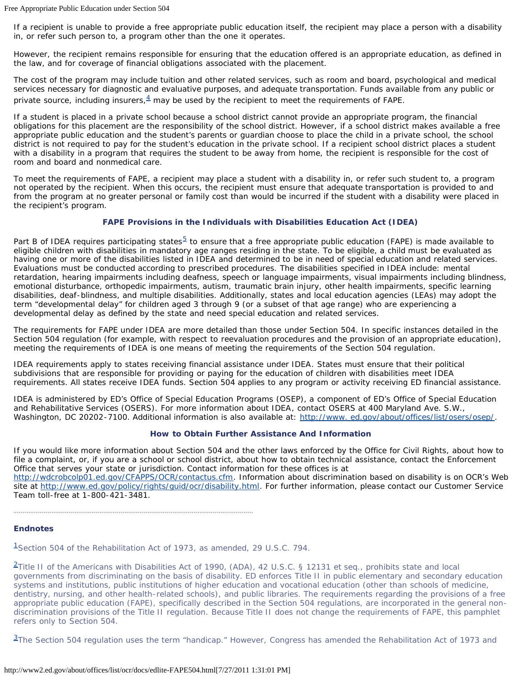Free Appropriate Public Education under Section 504

If a recipient is unable to provide a free appropriate public education itself, the recipient may place a person with a disability in, or refer such person to, a program other than the one it operates.

However, the recipient remains responsible for ensuring that the education offered is an appropriate education, as defined in the law, and for coverage of financial obligations associated with the placement.

<span id="page-3-3"></span>The cost of the program may include tuition and other related services, such as room and board, psychological and medical services necessary for diagnostic and evaluative purposes, and adequate transportation. Funds available from any public or private source, including insurers, $4$  may be used by the recipient to meet the requirements of FAPE.

If a student is placed in a private school because a school district cannot provide an appropriate program, the financial obligations for this placement are the responsibility of the school district. However, if a school district makes available a free appropriate public education and the student's parents or guardian choose to place the child in a private school, the school district is not required to pay for the student's education in the private school. If a recipient school district places a student with a disability in a program that requires the student to be away from home, the recipient is responsible for the cost of room and board and nonmedical care.

To meet the requirements of FAPE, a recipient may place a student with a disability in, or refer such student to, a program not operated by the recipient. When this occurs, the recipient must ensure that adequate transportation is provided to and from the program at no greater personal or family cost than would be incurred if the student with a disability were placed in the recipient's program.

# *FAPE Provisions in the Individuals with Disabilities Education Act (IDEA)*

<span id="page-3-4"></span>Part B of *IDEA* requires participating states<sup>[5](#page-4-2)</sup> to ensure that a free appropriate public education (FAPE) is made available to eligible children with disabilities in mandatory age ranges residing in the state. To be eligible, a child must be evaluated as having one or more of the disabilities listed in *IDEA* and determined to be in need of special education and related services. Evaluations must be conducted according to prescribed procedures. The disabilities specified in *IDEA* include: mental retardation, hearing impairments including deafness, speech or language impairments, visual impairments including blindness, emotional disturbance, orthopedic impairments, autism, traumatic brain injury, other health impairments, specific learning disabilities, deaf-blindness, and multiple disabilities. Additionally, states and local education agencies (LEAs) may adopt the term "developmental delay" for children aged 3 through 9 (or a subset of that age range) who are experiencing a developmental delay as defined by the state and need special education and related services.

The requirements for FAPE under *IDEA* are more detailed than those under Section 504. In specific instances detailed in the Section 504 regulation (for example, with respect to reevaluation procedures and the provision of an appropriate education), meeting the requirements of *IDEA* is one means of meeting the requirements of the Section 504 regulation.

*IDEA* requirements apply to states receiving financial assistance under *IDEA*. States must ensure that their political subdivisions that are responsible for providing or paying for the education of children with disabilities meet *IDEA* requirements. All states receive *IDEA* funds. Section 504 applies to any program or activity receiving ED financial assistance.

*IDEA* is administered by ED's Office of Special Education Programs (OSEP), a component of ED's Office of Special Education and Rehabilitative Services (OSERS). For more information about *IDEA*, contact OSERS at 400 Maryland Ave. S.W., Washington, DC 20202-7100. Additional information is also available at: [http://www. ed.gov/about/offices/list/osers/osep/](http://www.ed.gov/about/offices/list/osers/osep/).

# *How to Obtain Further Assistance And Information*

If you would like more information about Section 504 and the other laws enforced by the Office for Civil Rights, about how to file a complaint, or, if you are a school or school district, about how to obtain technical assistance, contact the Enforcement Office that serves your state or jurisdiction. Contact information for these offices is at <http://wdcrobcolp01.ed.gov/CFAPPS/OCR/contactus.cfm>. Information about discrimination based on disability is on OCR's Web site at [http://www.ed.gov/policy/rights/guid/ocr/disability.html.](http://www.ed.gov/policy/rights/guid/ocr/disability.html) For further information, please contact our Customer Service Team toll-free at 1-800-421-3481.

### *Endnotes*

<span id="page-3-0"></span>[1](#page-0-0)Section 504 of the *Rehabilitation Act of 1973*, as amended, 29 U.S.C. 794.

<span id="page-3-1"></span>[2](#page-0-1)Title II of the *Americans with Disabilities* Act of 1990, (ADA), 42 U.S.C. § 12131 et seq., prohibits state and local governments from discriminating on the basis of disability. ED enforces Title II in public elementary and secondary education systems and institutions, public institutions of higher education and vocational education (other than schools of medicine, dentistry, nursing, and other health-related schools), and public libraries. The requirements regarding the provisions of a free appropriate public education (FAPE), specifically described in the Section 504 regulations, are incorporated in the general nondiscrimination provisions of the Title II regulation. Because Title II does not change the requirements of FAPE, this pamphlet refers only to Section 504.

<span id="page-3-2"></span>[3](#page-0-2)The Section 504 regulation uses the term "handicap." However, Congress has amended the *Rehabilitation Act of 1973* and